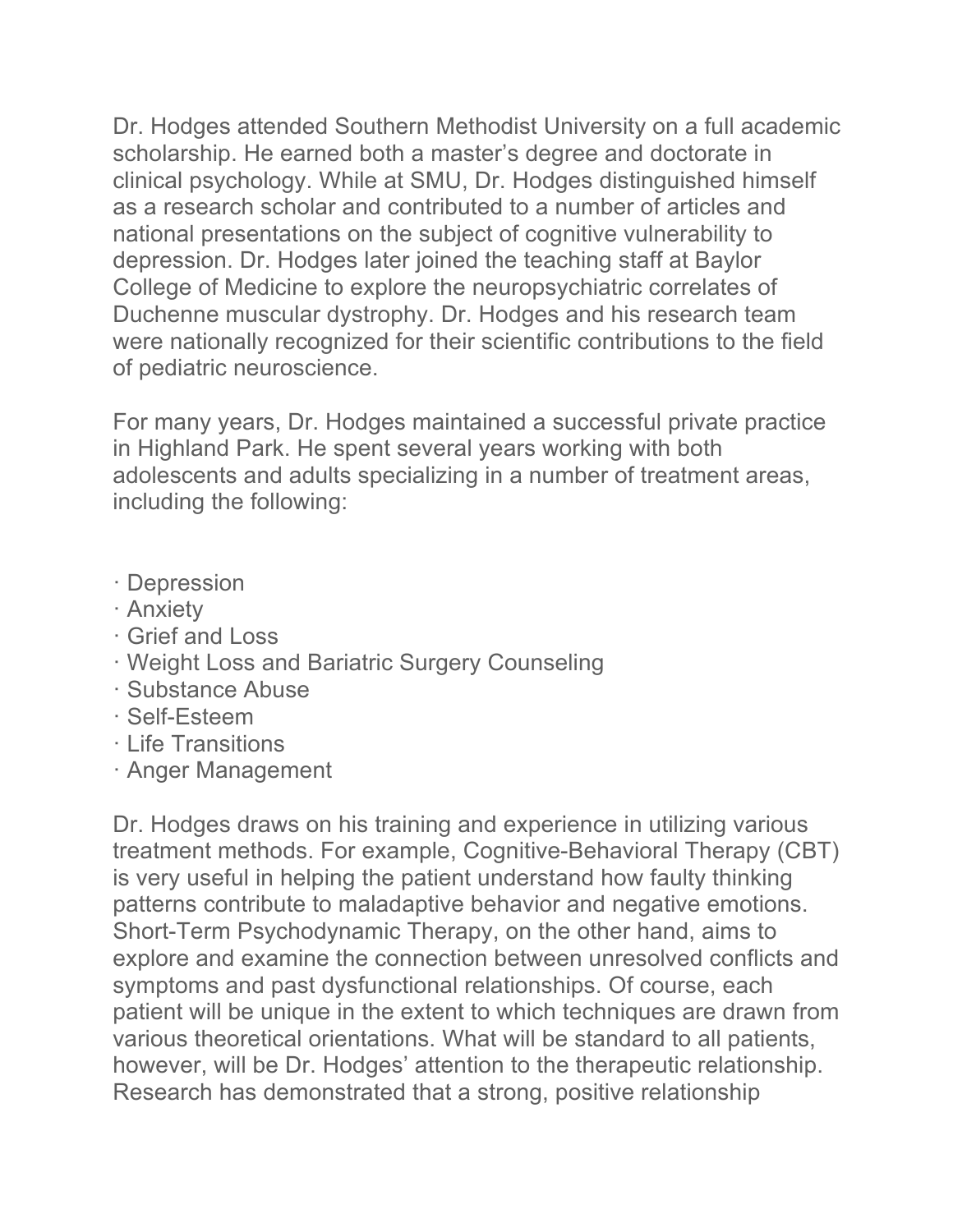Dr. Hodges attended Southern Methodist University on a full academic scholarship. He earned both a master's degree and doctorate in clinical psychology. While at SMU, Dr. Hodges distinguished himself as a research scholar and contributed to a number of articles and national presentations on the subject of cognitive vulnerability to depression. Dr. Hodges later joined the teaching staff at Baylor College of Medicine to explore the neuropsychiatric correlates of Duchenne muscular dystrophy. Dr. Hodges and his research team were nationally recognized for their scientific contributions to the field of pediatric neuroscience.

For many years, Dr. Hodges maintained a successful private practice in Highland Park. He spent several years working with both adolescents and adults specializing in a number of treatment areas, including the following:

- · Depression
- · Anxiety
- · Grief and Loss
- · Weight Loss and Bariatric Surgery Counseling
- · Substance Abuse
- · Self-Esteem
- · Life Transitions
- · Anger Management

Dr. Hodges draws on his training and experience in utilizing various treatment methods. For example, Cognitive-Behavioral Therapy (CBT) is very useful in helping the patient understand how faulty thinking patterns contribute to maladaptive behavior and negative emotions. Short-Term Psychodynamic Therapy, on the other hand, aims to explore and examine the connection between unresolved conflicts and symptoms and past dysfunctional relationships. Of course, each patient will be unique in the extent to which techniques are drawn from various theoretical orientations. What will be standard to all patients, however, will be Dr. Hodges' attention to the therapeutic relationship. Research has demonstrated that a strong, positive relationship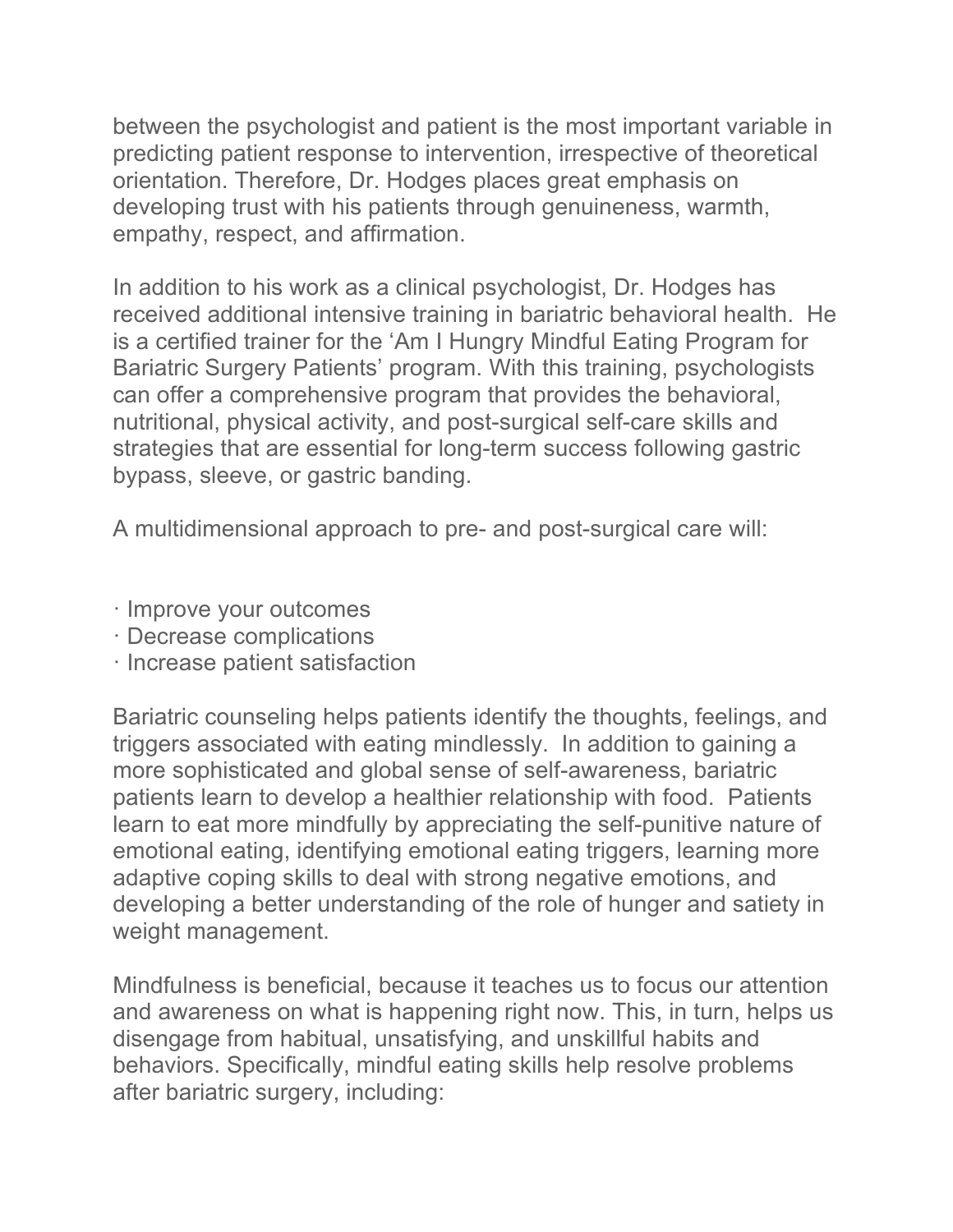between the psychologist and patient is the most important variable in predicting patient response to intervention, irrespective of theoretical orientation. Therefore, Dr. Hodges places great emphasis on developing trust with his patients through genuineness, warmth, empathy, respect, and affirmation.

In addition to his work as a clinical psychologist, Dr. Hodges has received additional intensive training in bariatric behavioral health. He is a certified trainer for the 'Am I Hungry Mindful Eating Program for Bariatric Surgery Patients' program. With this training, psychologists can offer a comprehensive program that provides the behavioral, nutritional, physical activity, and post-surgical self-care skills and strategies that are essential for long-term success following gastric bypass, sleeve, or gastric banding.

A multidimensional approach to pre- and post-surgical care will:

- · Improve your outcomes
- · Decrease complications
- · Increase patient satisfaction

Bariatric counseling helps patients identify the thoughts, feelings, and triggers associated with eating mindlessly. In addition to gaining a more sophisticated and global sense of self-awareness, bariatric patients learn to develop a healthier relationship with food. Patients learn to eat more mindfully by appreciating the self-punitive nature of emotional eating, identifying emotional eating triggers, learning more adaptive coping skills to deal with strong negative emotions, and developing a better understanding of the role of hunger and satiety in weight management.

Mindfulness is beneficial, because it teaches us to focus our attention and awareness on what is happening right now. This, in turn, helps us disengage from habitual, unsatisfying, and unskillful habits and behaviors. Specifically, mindful eating skills help resolve problems after bariatric surgery, including: